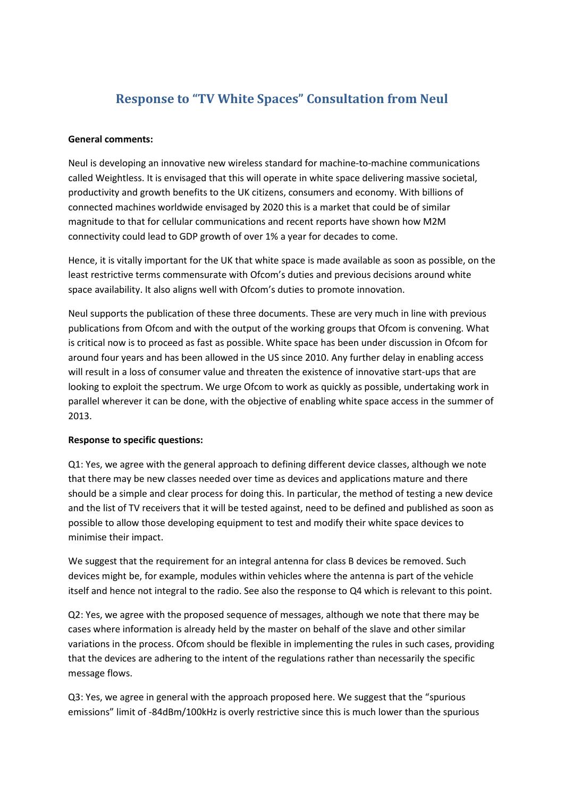# **Response to "TV White Spaces" Consultation from Neul**

#### **General comments:**

Neul is developing an innovative new wireless standard for machine-to-machine communications called Weightless. It is envisaged that this will operate in white space delivering massive societal, productivity and growth benefits to the UK citizens, consumers and economy. With billions of connected machines worldwide envisaged by 2020 this is a market that could be of similar magnitude to that for cellular communications and recent reports have shown how M2M connectivity could lead to GDP growth of over 1% a year for decades to come.

Hence, it is vitally important for the UK that white space is made available as soon as possible, on the least restrictive terms commensurate with Ofcom's duties and previous decisions around white space availability. It also aligns well with Ofcom's duties to promote innovation.

Neul supports the publication of these three documents. These are very much in line with previous publications from Ofcom and with the output of the working groups that Ofcom is convening. What is critical now is to proceed as fast as possible. White space has been under discussion in Ofcom for around four years and has been allowed in the US since 2010. Any further delay in enabling access will result in a loss of consumer value and threaten the existence of innovative start-ups that are looking to exploit the spectrum. We urge Ofcom to work as quickly as possible, undertaking work in parallel wherever it can be done, with the objective of enabling white space access in the summer of 2013.

#### **Response to specific questions:**

Q1: Yes, we agree with the general approach to defining different device classes, although we note that there may be new classes needed over time as devices and applications mature and there should be a simple and clear process for doing this. In particular, the method of testing a new device and the list of TV receivers that it will be tested against, need to be defined and published as soon as possible to allow those developing equipment to test and modify their white space devices to minimise their impact.

We suggest that the requirement for an integral antenna for class B devices be removed. Such devices might be, for example, modules within vehicles where the antenna is part of the vehicle itself and hence not integral to the radio. See also the response to Q4 which is relevant to this point.

Q2: Yes, we agree with the proposed sequence of messages, although we note that there may be cases where information is already held by the master on behalf of the slave and other similar variations in the process. Ofcom should be flexible in implementing the rules in such cases, providing that the devices are adhering to the intent of the regulations rather than necessarily the specific message flows.

Q3: Yes, we agree in general with the approach proposed here. We suggest that the "spurious emissions" limit of -84dBm/100kHz is overly restrictive since this is much lower than the spurious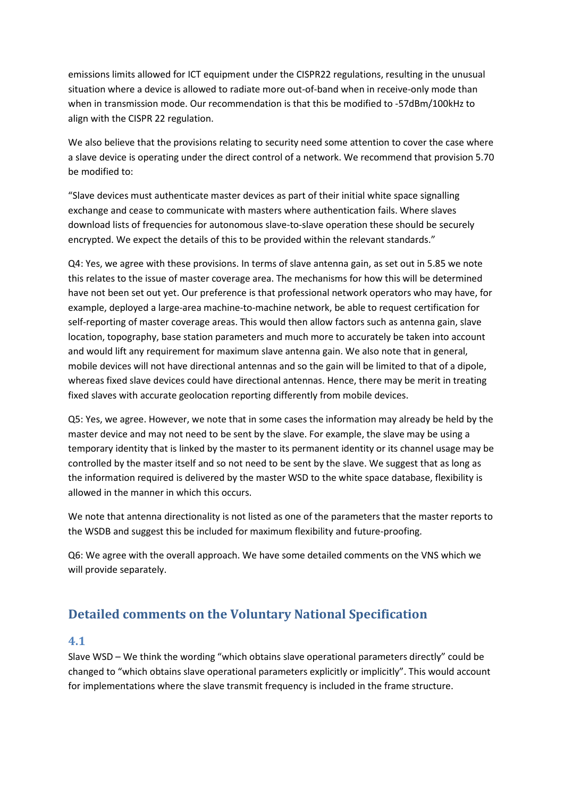emissions limits allowed for ICT equipment under the CISPR22 regulations, resulting in the unusual situation where a device is allowed to radiate more out-of-band when in receive-only mode than when in transmission mode. Our recommendation is that this be modified to -57dBm/100kHz to align with the CISPR 22 regulation.

We also believe that the provisions relating to security need some attention to cover the case where a slave device is operating under the direct control of a network. We recommend that provision 5.70 be modified to:

"Slave devices must authenticate master devices as part of their initial white space signalling exchange and cease to communicate with masters where authentication fails. Where slaves download lists of frequencies for autonomous slave-to-slave operation these should be securely encrypted. We expect the details of this to be provided within the relevant standards."

Q4: Yes, we agree with these provisions. In terms of slave antenna gain, as set out in 5.85 we note this relates to the issue of master coverage area. The mechanisms for how this will be determined have not been set out yet. Our preference is that professional network operators who may have, for example, deployed a large-area machine-to-machine network, be able to request certification for self-reporting of master coverage areas. This would then allow factors such as antenna gain, slave location, topography, base station parameters and much more to accurately be taken into account and would lift any requirement for maximum slave antenna gain. We also note that in general, mobile devices will not have directional antennas and so the gain will be limited to that of a dipole, whereas fixed slave devices could have directional antennas. Hence, there may be merit in treating fixed slaves with accurate geolocation reporting differently from mobile devices.

Q5: Yes, we agree. However, we note that in some cases the information may already be held by the master device and may not need to be sent by the slave. For example, the slave may be using a temporary identity that is linked by the master to its permanent identity or its channel usage may be controlled by the master itself and so not need to be sent by the slave. We suggest that as long as the information required is delivered by the master WSD to the white space database, flexibility is allowed in the manner in which this occurs.

We note that antenna directionality is not listed as one of the parameters that the master reports to the WSDB and suggest this be included for maximum flexibility and future-proofing.

Q6: We agree with the overall approach. We have some detailed comments on the VNS which we will provide separately.

# **Detailed comments on the Voluntary National Specification**

#### **4.1**

Slave WSD – We think the wording "which obtains slave operational parameters directly" could be changed to "which obtains slave operational parameters explicitly or implicitly". This would account for implementations where the slave transmit frequency is included in the frame structure.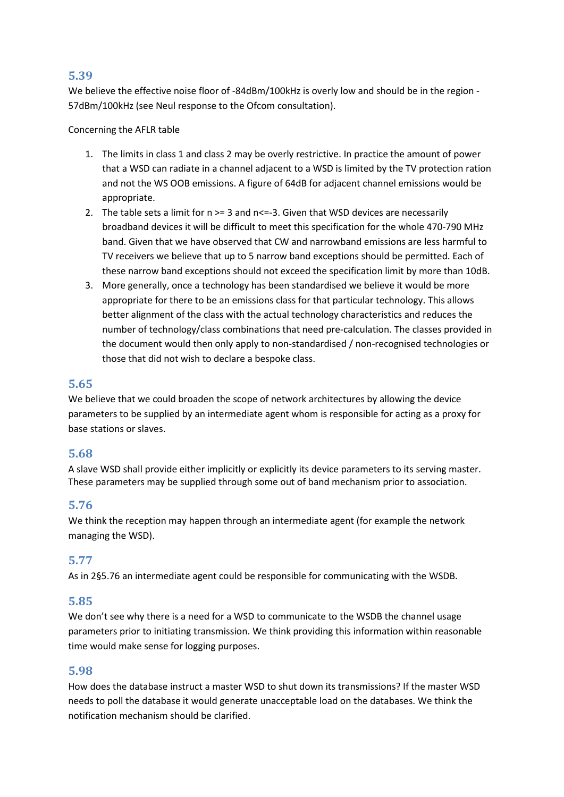# **5.39**

We believe the effective noise floor of -84dBm/100kHz is overly low and should be in the region - 57dBm/100kHz (see Neul response to the Ofcom consultation).

Concerning the AFLR table

- 1. The limits in class 1 and class 2 may be overly restrictive. In practice the amount of power that a WSD can radiate in a channel adjacent to a WSD is limited by the TV protection ration and not the WS OOB emissions. A figure of 64dB for adjacent channel emissions would be appropriate.
- 2. The table sets a limit for  $n \geq 3$  and  $n \leq -3$ . Given that WSD devices are necessarily broadband devices it will be difficult to meet this specification for the whole 470-790 MHz band. Given that we have observed that CW and narrowband emissions are less harmful to TV receivers we believe that up to 5 narrow band exceptions should be permitted. Each of these narrow band exceptions should not exceed the specification limit by more than 10dB.
- 3. More generally, once a technology has been standardised we believe it would be more appropriate for there to be an emissions class for that particular technology. This allows better alignment of the class with the actual technology characteristics and reduces the number of technology/class combinations that need pre-calculation. The classes provided in the document would then only apply to non-standardised / non-recognised technologies or those that did not wish to declare a bespoke class.

# **5.65**

We believe that we could broaden the scope of network architectures by allowing the device parameters to be supplied by an intermediate agent whom is responsible for acting as a proxy for base stations or slaves.

# **5.68**

A slave WSD shall provide either implicitly or explicitly its device parameters to its serving master. These parameters may be supplied through some out of band mechanism prior to association.

# <span id="page-2-0"></span>**5.76**

We think the reception may happen through an intermediate agent (for example the network managing the WSD).

### **5.77**

As in [2§5.76](#page-2-0) an intermediate agent could be responsible for communicating with the WSDB.

### **5.85**

We don't see why there is a need for a WSD to communicate to the WSDB the channel usage parameters prior to initiating transmission. We think providing this information within reasonable time would make sense for logging purposes.

### **5.98**

How does the database instruct a master WSD to shut down its transmissions? If the master WSD needs to poll the database it would generate unacceptable load on the databases. We think the notification mechanism should be clarified.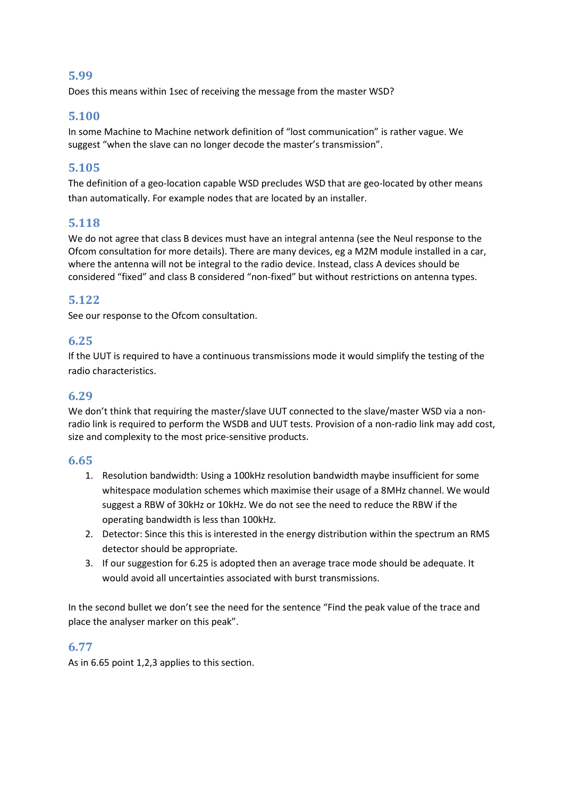### **5.99**

Does this means within 1sec of receiving the message from the master WSD?

# <span id="page-3-1"></span>**5.100**

In some Machine to Machine network definition of "lost communication" is rather vague. We suggest "when the slave can no longer decode the master's transmission".

# **5.105**

The definition of a geo-location capable WSD precludes WSD that are geo-located by other means than automatically. For example nodes that are located by an installer.

# **5.118**

We do not agree that class B devices must have an integral antenna (see the Neul response to the Ofcom consultation for more details). There are many devices, eg a M2M module installed in a car, where the antenna will not be integral to the radio device. Instead, class A devices should be considered "fixed" and class B considered "non-fixed" but without restrictions on antenna types.

# **5.122**

See our response to the Ofcom consultation.

### **6.25**

If the UUT is required to have a continuous transmissions mode it would simplify the testing of the radio characteristics.

# **6.29**

We don't think that requiring the master/slave UUT connected to the slave/master WSD via a nonradio link is required to perform the WSDB and UUT tests. Provision of a non-radio link may add cost, size and complexity to the most price-sensitive products.

### <span id="page-3-0"></span>**6.65**

- 1. Resolution bandwidth: Using a 100kHz resolution bandwidth maybe insufficient for some whitespace modulation schemes which maximise their usage of a 8MHz channel. We would suggest a RBW of 30kHz or 10kHz. We do not see the need to reduce the RBW if the operating bandwidth is less than 100kHz.
- 2. Detector: Since this this is interested in the energy distribution within the spectrum an RMS detector should be appropriate.
- 3. If our suggestion for 6.25 is adopted then an average trace mode should be adequate. It would avoid all uncertainties associated with burst transmissions.

In the second bullet we don't see the need for the sentence "Find the peak value of the trace and place the analyser marker on this peak".

### **6.77**

As in [6.65](#page-3-0) point 1,2,3 applies to this section.